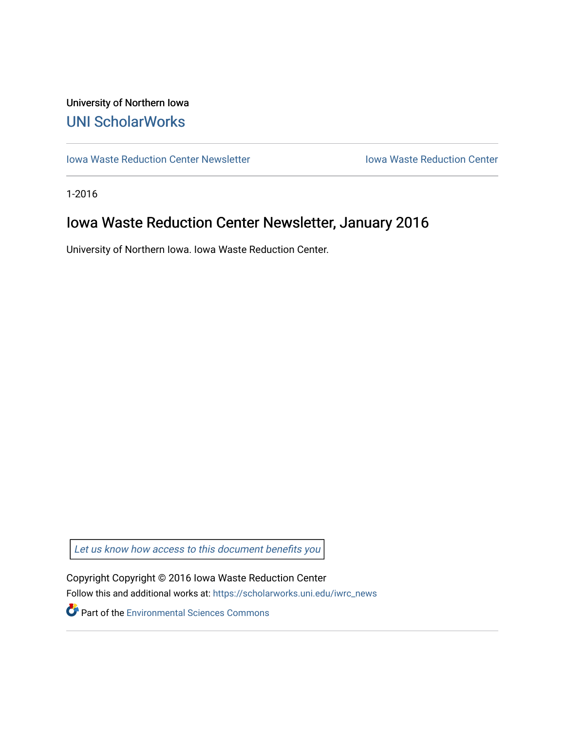# University of Northern Iowa [UNI ScholarWorks](https://scholarworks.uni.edu/)

[Iowa Waste Reduction Center Newsletter](https://scholarworks.uni.edu/iwrc_news) **Internal Communist Communist Center** Iowa Waste Reduction Center

1-2016

# Iowa Waste Reduction Center Newsletter, January 2016

University of Northern Iowa. Iowa Waste Reduction Center.

Let us know how access to this document benefits you

Copyright Copyright © 2016 Iowa Waste Reduction Center Follow this and additional works at: [https://scholarworks.uni.edu/iwrc\\_news](https://scholarworks.uni.edu/iwrc_news?utm_source=scholarworks.uni.edu%2Fiwrc_news%2F61&utm_medium=PDF&utm_campaign=PDFCoverPages) 

**Part of the [Environmental Sciences Commons](http://network.bepress.com/hgg/discipline/167?utm_source=scholarworks.uni.edu%2Fiwrc_news%2F61&utm_medium=PDF&utm_campaign=PDFCoverPages)**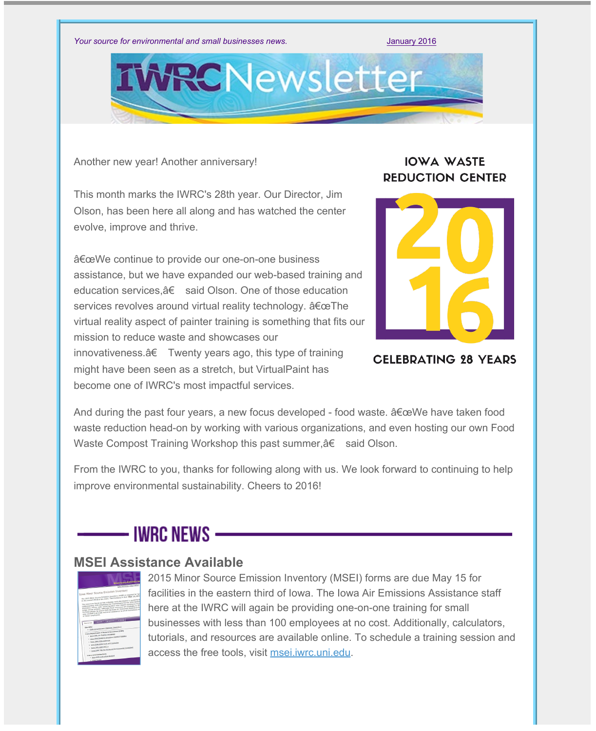

Another new year! Another anniversary!

This month marks the IWRC's 28th year. Our Director, Jim Olson, has been here all along and has watched the center evolve, improve and thrive.

"We continue to provide our one-on-one business assistance, but we have expanded our web-based training and education services, a estaid Olson. One of those education services revolves around virtual reality technology. a Ece The virtual reality aspect of painter training is something that fits our mission to reduce waste and showcases our innovativeness.†Twenty years ago, this type of training might have been seen as a stretch, but VirtualPaint has become one of IWRC's most impactful services.



**IOWA WASTE** 

**CELEBRATING 28 YEARS** 

And during the past four years, a new focus developed - food waste.  $\frac{\partial^2 f}{\partial x^2}$  have taken food waste reduction head-on by working with various organizations, and even hosting our own Food Waste Compost Training Workshop this past summer, a fe said Olson.

From the IWRC to you, thanks for following along with us. We look forward to continuing to help improve environmental sustainability. Cheers to 2016!

# – IWRC NEWS -

#### **MSEI Assistance Available**

| Minor Source Emissions by                                                                                                                                                                                                                                                                                                                                                                                                                                                                                                                                                                                                         |
|-----------------------------------------------------------------------------------------------------------------------------------------------------------------------------------------------------------------------------------------------------------------------------------------------------------------------------------------------------------------------------------------------------------------------------------------------------------------------------------------------------------------------------------------------------------------------------------------------------------------------------------|
|                                                                                                                                                                                                                                                                                                                                                                                                                                                                                                                                                                                                                                   |
| <b>PAR Personal Generation</b>                                                                                                                                                                                                                                                                                                                                                                                                                                                                                                                                                                                                    |
| Iowa Minor Source Emission Inventory<br>The 2015 Moor Source Emission Sweetery (MSEI) is required for fact<br>in the coutant third of the state. The inventory is due: May 15, 2010<br>The resources found on this websites were developed to assist facial<br>understanding and completing the requirements for the 2015 Empalo<br>Sweetery, Please note: some facilities may require assistance beyon<br>scope of this website. Although these resources are available to all<br>facilities please be zeare that the lows air fitnissions Assistance Pro<br>was created to previde technical assistance to small pushesses with |
| or fewer employees.<br><b>SOUTH ANNA ANNA ANNA ANN</b><br><b>Checkfist</b><br>TORS Completeness Check Sat, 2014 E.R.C.                                                                                                                                                                                                                                                                                                                                                                                                                                                                                                            |
| Sowia Department of Natural Resources (DNR)<br>· Small at Outlas Houses<br>· Lima Chill, Smission, Incentury, General Visitable<br>1 TOUR DWR, INSEE MADE ROAD<br>. Sana Disk HSEL Soals and humanities<br>1 2003 0103 11201 110216<br>. Some Crab, Tips far, inclus an Environmental Conseillant                                                                                                                                                                                                                                                                                                                                 |
| <b>Forms and StatesCloin</b>                                                                                                                                                                                                                                                                                                                                                                                                                                                                                                                                                                                                      |

2015 Minor Source Emission Inventory (MSEI) forms are due May 15 for facilities in the eastern third of Iowa. The Iowa Air Emissions Assistance staff here at the IWRC will again be providing one-on-one training for small businesses with less than 100 employees at no cost. Additionally, calculators, tutorials, and resources are available online. To schedule a training session and access the free tools, visit [msei.iwrc.uni.edu.](http://msei.iwrc.uni.edu/)